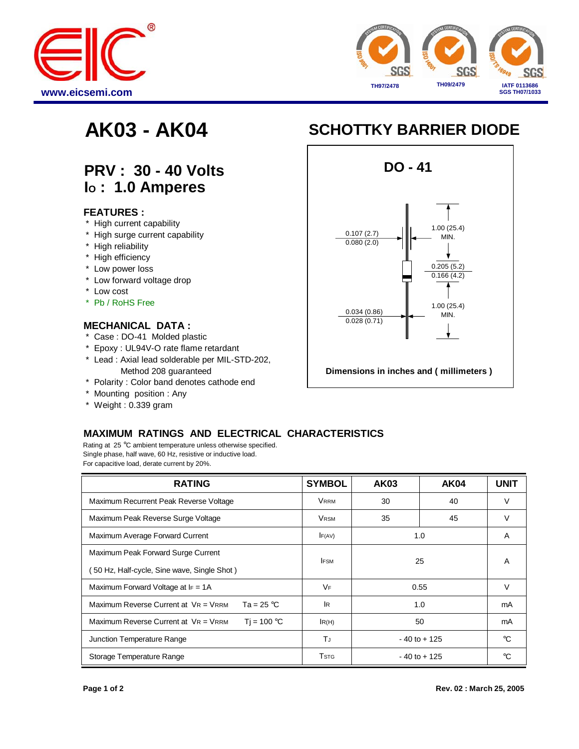



## **PRV : 30 - 40 Volts I<sup>O</sup> : 1.0 Amperes**

#### **FEATURES :**

- \* High current capability
- \* High surge current capability
- \* High reliability
- \* High efficiency
- \* Low power loss
- \* Low forward voltage drop
- \* Low cost
- \* Pb / RoHS Free

#### **MECHANICAL DATA :**

- \* Case : DO-41 Molded plastic
- \* Epoxy : UL94V-O rate flame retardant
- \* Lead : Axial lead solderable per MIL-STD-202, Method 208 guaranteed
- \* Polarity : Color band denotes cathode end
- \* Mounting position : Any
- \* Weight : 0.339 gram

# **AK03 - AK04 SCHOTTKY BARRIER DIODE**



### **MAXIMUM RATINGS AND ELECTRICAL CHARACTERISTICS**

Rating at 25 °C ambient temperature unless otherwise specified. Single phase, half wave, 60 Hz, resistive or inductive load. For capacitive load, derate current by 20%.

| <b>RATING</b>                                                | <b>SYMBOL</b>           | <b>AK03</b>     | <b>AK04</b> | <b>UNIT</b> |
|--------------------------------------------------------------|-------------------------|-----------------|-------------|-------------|
| Maximum Recurrent Peak Reverse Voltage                       | <b>VRRM</b>             | 30              | 40          | V           |
| Maximum Peak Reverse Surge Voltage                           | <b>VRSM</b>             | 35              | 45          | V           |
| Maximum Average Forward Current                              | F(AV)                   | 1.0             |             | A           |
| Maximum Peak Forward Surge Current                           | <b>IFSM</b>             | 25              |             | A           |
| 50 Hz, Half-cycle, Sine wave, Single Shot)                   |                         |                 |             |             |
| Maximum Forward Voltage at $I_F = 1A$                        | <b>VF</b>               | 0.55            |             | $\vee$      |
| Maximum Reverse Current at VR = VRRM<br>Ta = 25 $^{\circ}$ C | <b>IR</b>               | 1.0             |             | mA          |
| Maximum Reverse Current at VR = VRRM<br>$Ti = 100 °C$        | IR(H)                   | 50              |             | mA          |
| Junction Temperature Range                                   | ТJ                      | $-40$ to $+125$ |             | $^{\circ}C$ |
| Storage Temperature Range                                    | <b>T</b> <sub>STG</sub> | $-40$ to $+125$ |             | °C          |